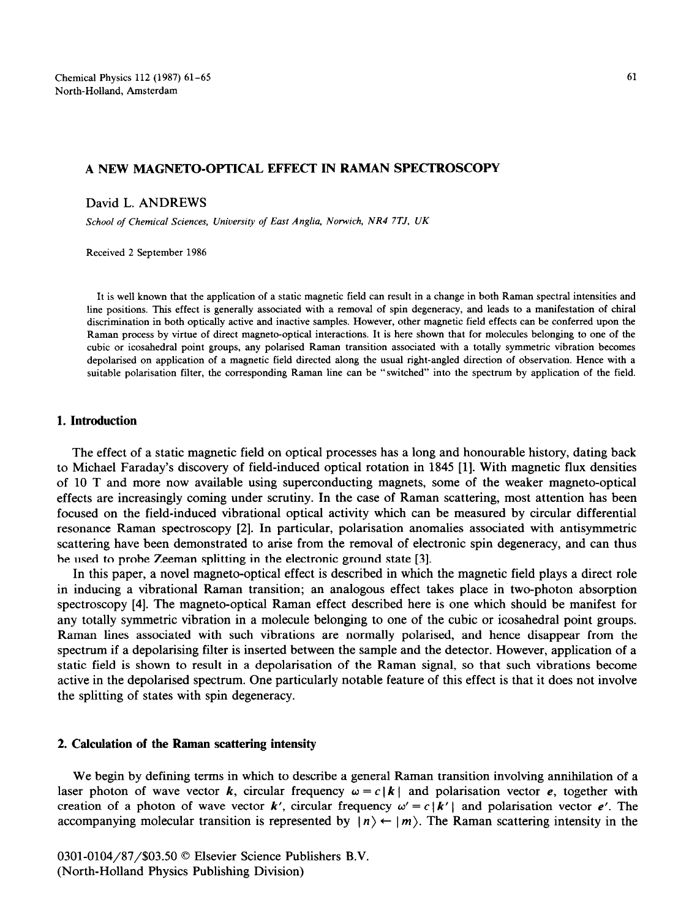# **A NEW MAGNETO-OPTICAL EFFECT IN RAMAN SPECTROSCOPY**

# David L. ANDREWS

*School of Chemical Sciences, University of East Anglia, Norwich, NR4 7TJ. UK* 

Received 2 September 1986

It is well known that the application of a static magnetic field can result in a change in both Raman spectral intensities and line positions. This effect is generally associated with a removal of spin degeneracy, and leads to a manifestation of chiral discrimination in both optically active and inactive samples. However, other magnetic field effects can he conferred upon the Raman process by virtue of direct magneto-optical interactions. It is here shown that for molecules belonging to one of the cubic or icosahedral point groups, any polarised Raman transition associated with a totally symmetric vibration becomes depolarised on application of a magnetic field directed along the usual right-angled direction of observation. Hence with a suitable polarisation filter, the corresponding Raman line can be "switched" into the spectrum by application of the field.

## **1. Introduction**

The effect of a static magnetic field on optical processes has a long and honourable history, dating back to Michael Faraday's discovery of field-induced optical rotation in 1845 [l]. With magnetic flux densities of 10 T and more now available using superconducting magnets, some of the weaker magneto-optical effects are increasingly coming under scrutiny. In the case of Raman scattering, most attention has been focused on the field-induced vibrational optical activity which can be measured by circular differential resonance Raman spectroscopy [2]. In particular, polarisation anomalies associated with antisymmetric scattering have been demonstrated to arise from the removal of electronic spin degeneracy, and can thus be used to probe Zeeman splitting in the electronic ground state [3].

In this paper, a novel magneto-optical effect is described in which the magnetic field plays a direct role in inducing a vibrational Raman transition; an analogous effect takes place in two-photon absorption spectroscopy [4]. The magneto-optical Raman effect described here is one which should be manifest for any totally symmetric vibration in a molecule belonging to one of the cubic or icosahedral point groups. Raman lines associated with such vibrations are normally polarised, and hence disappear from the spectrum if a depolarising filter is inserted between the sample and the detector. However, application of a static field is shown to result in a depolarisation of the Raman signal, so that such vibrations become active in the depolarised spectrum. One particularly notable feature of this effect is that it does not involve the splitting of states with spin degeneracy.

## **2. Calculation of the Raman scattering intensity**

We begin by defining terms in which to describe a general Raman transition involving annihilation of a laser photon of wave vector k, circular frequency  $\omega = c |k|$  and polarisation vector e, together with creation of a photon of wave vector  $k'$ , circular frequency  $\omega' = c |k'|$  and polarisation vector e'. The accompanying molecular transition is represented by  $|n\rangle \leftarrow |m\rangle$ . The Raman scattering intensity in the

0301-0104/87/\$03.50 0 Elsevier Science Publishers B.V. (North-Holland Physics Publishing Division)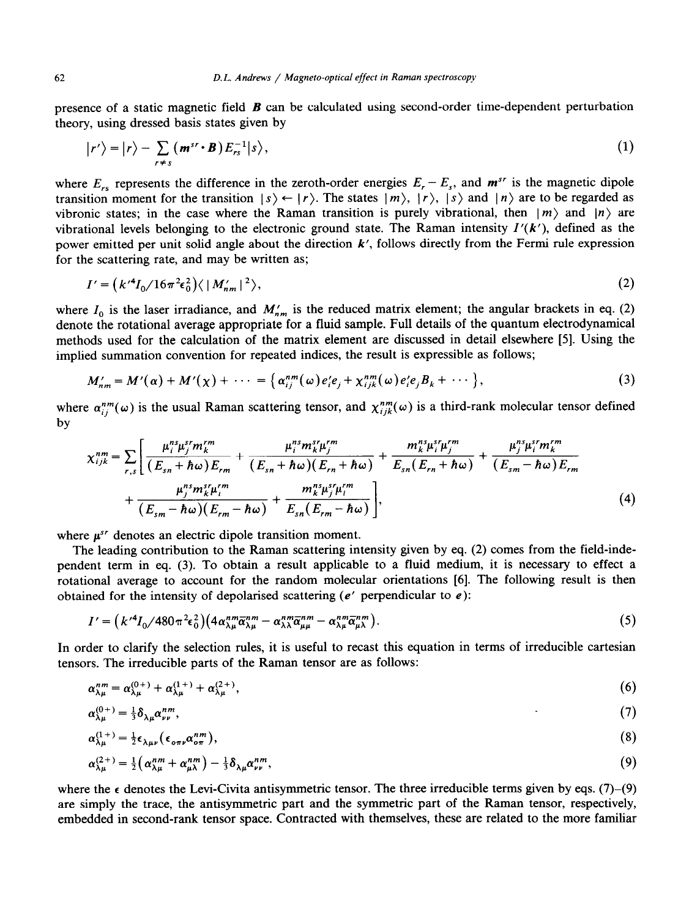presence of a static magnetic field *B* can be calculated using second-order time-dependent perturbation theory, using dressed basis states given by

$$
|r'\rangle = |r\rangle - \sum_{r \neq s} (\mathbf{m}^{sr} \cdot \mathbf{B}) E_{rs}^{-1} |s\rangle, \tag{1}
$$

where  $E_{rs}$  represents the difference in the zeroth-order energies  $E_{r} - E_{s}$ , and  $m^{sr}$  is the magnetic dipole transition moment for the transition  $|s\rangle \leftarrow |r\rangle$ . The states  $|m\rangle$ ,  $|r\rangle$ ,  $|s\rangle$  and  $|n\rangle$  are to be regarded as vibronic states; in the case where the Raman transition is purely vibrational, then  $|m\rangle$  and  $|n\rangle$  are vibrational levels belonging to the electronic ground state. The Raman intensity  $I'(k')$ , defined as the power emitted per unit solid angle about the direction  $k'$ , follows directly from the Fermi rule expression for the scattering rate, and may be written as;

$$
I' = (k'^4 I_0 / 16\pi^2 \epsilon_0^2) \langle |M'_{nm}|^2 \rangle,
$$
 (2)

where  $I_0$  is the laser irradiance, and  $M'_{nm}$  is the reduced matrix element; the angular brackets in eq. (2) denote the rotational average appropriate for a fluid sample. Full details of the quantum electrodynamical methods used for the calculation of the matrix element are discussed in detail elsewhere [5]. Using the implied summation convention for repeated indices, the result is expressible as follows;

$$
M'_{nm} = M'(\alpha) + M'(\chi) + \cdots = \left\{ \alpha_{ij}^{nm}(\omega) e_i' e_j + \chi_{ijk}^{nm}(\omega) e_i' e_j B_k + \cdots \right\},\tag{3}
$$

where  $\alpha_{ij}^{nm}(\omega)$  is the usual Raman scattering tensor, and  $\chi_{ijk}^{nm}(\omega)$  is a third-rank molecular tensor defined by

$$
\chi_{ijk}^{nm} = \sum_{r,s} \left[ \frac{\mu_i^{ns} \mu_j^{sr} m_k^{rm}}{(E_{sn} + \hbar \omega) E_{rm}} + \frac{\mu_i^{ns} m_k^{sr} \mu_j^{rm}}{(E_{sn} + \hbar \omega)(E_{rm} + \hbar \omega)} + \frac{m_k^{ns} \mu_j^{sr} \mu_j^{rm}}{E_{sn}(E_{rm} + \hbar \omega)} + \frac{\mu_j^{ns} \mu_j^{sr} m_k^{rm}}{(E_{sm} - \hbar \omega) E_{rm}} + \frac{\mu_j^{ns} m_j^{sr} \mu_j^{rm}}{(E_{sm} - \hbar \omega)(E_{rm} - \hbar \omega)} + \frac{m_k^{ns} \mu_j^{sr} \mu_j^{rm}}{(E_{sm} - \hbar \omega)(E_{rm} - \hbar \omega)} + \frac{m_k^{ns} \mu_j^{sr} \mu_j^{rm}}{E_{sn}(E_{rm} - \hbar \omega)} \right],
$$
\n(4)

where  $\mu^{sr}$  denotes an electric dipole transition moment.

The leading contribution to the Raman scattering intensity given by eq. (2) comes from the field-independent term in eq. (3). To obtain a result applicable to a fluid medium, it is necessary to effect a rotational average to account for the random molecular orientations [6]. The following result is then obtained for the intensity of depolarised scattering ( $e'$  perpendicular to  $e$ ):

$$
I' = \left(k'^4 I_0 / 480 \pi^2 \epsilon_0^2\right) \left(4 \alpha_{\lambda \mu}^{nm} \overline{\alpha}_{\lambda \mu}^{nm} - \alpha_{\lambda \lambda}^{nm} \overline{\alpha}_{\mu \mu}^{nm} - \alpha_{\lambda \mu}^{nm} \overline{\alpha}_{\mu \lambda}^{nm}\right). \tag{5}
$$

In order to clarify the selection rules, it is useful to recast this equation in terms of irreducible cartesian tensors. The irreducible parts of the Raman tensor are as follows:

$$
\alpha_{\lambda\mu}^{nm} = \alpha_{\lambda\mu}^{(0+)} + \alpha_{\lambda\mu}^{(1+)} + \alpha_{\lambda\mu}^{(2+)},
$$
\n(6)

$$
\alpha_{\lambda\mu}^{(0+)} = \frac{1}{3} \delta_{\lambda\mu} \alpha_{\nu\nu}^{nm},\tag{7}
$$

$$
\alpha_{\lambda\mu}^{(1+)} = \frac{1}{2} \epsilon_{\lambda\mu\nu} (\epsilon_{\sigma\pi\nu} \alpha_{\sigma\pi}^{nm}), \tag{8}
$$

$$
\alpha_{\lambda\mu}^{(2+)} = \frac{1}{2} \left( \alpha_{\lambda\mu}^{nm} + \alpha_{\mu\lambda}^{nm} \right) - \frac{1}{3} \delta_{\lambda\mu} \alpha_{\nu\nu}^{nm}, \tag{9}
$$

where the  $\epsilon$  denotes the Levi-Civita antisymmetric tensor. The three irreducible terms given by eqs. (7)–(9) are simply the trace, the antisymmetric part and the symmetric part of the Raman tensor, respectively, embedded in second-rank tensor space. Contracted with themselves, these are related to the more familiar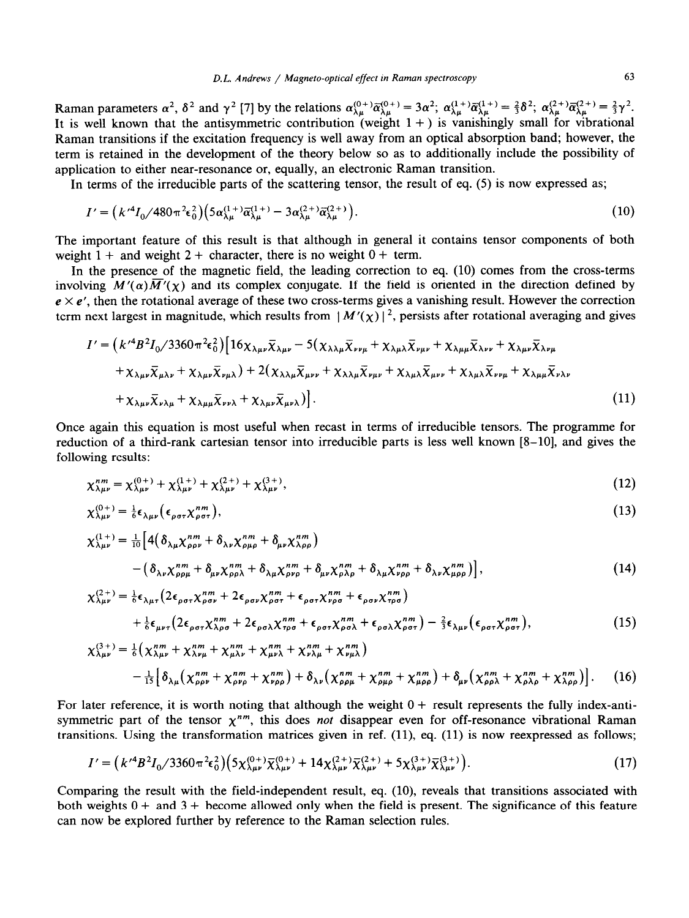Raman parameters  $\alpha^2$ ,  $\delta^2$  and  $\gamma^2$  [7] by the relations  $\alpha_{\lambda\mu}^{(0)+}\overline{\alpha}_{\lambda\mu}^{(0)+} = 3\alpha^2$ ;  $\alpha_{\lambda\mu}^{(1)}\overline{\alpha}_{\lambda\mu}^{(1)+} = \frac{2}{3}\delta^2$ ;  $\alpha_{\lambda\mu}^{(2)}\overline{\alpha}_{\lambda\mu}^{(2)+} = \frac{2}{3}\gamma^2$ It is well known that the antisymmetric contribution (weight  $1 +$ ) is vanishingly small for vibration Raman transitions if the excitation frequency is well away from an optical absorption band; however, the term is retained in the development of the theory below so as to additionally include the possibility of application to either near-resonance or, equally, an electronic Raman transition.

In terms of the irreducible parts of the scattering tensor, the result of eq. (5) is now expressed as;

$$
I' = \left(k'^4 I_0 / 480 \pi^2 \epsilon_0^2\right) \left(5 \alpha_{\lambda \mu}^{(1)} \overline{\alpha}_{\lambda \mu}^{(1)} - 3 \alpha_{\lambda \mu}^{(2)} \overline{\alpha}_{\lambda \mu}^{(2)}\right). \tag{10}
$$

The important feature of this result is that although in general it contains tensor components of both weight  $1 +$  and weight  $2 +$  character, there is no weight  $0 +$  term.

In the presence of the magnetic field, the leading correction to eq. (10) comes from the cross-terms involving  $M'(\alpha)\overline{M'}(\chi)$  and its complex conjugate. If the field is oriented in the direction defined by  $e \times e'$ , then the rotational average of these two cross-terms gives a vanishing result. However the correction term next largest in magnitude, which results from  $|M'(x)|^2$ , persists after rotational averaging and gives

$$
I' = (k'^4 B^2 I_0 / 3360 \pi^2 \epsilon_0^2) [16 \chi_{\lambda \mu \nu} \overline{\chi}_{\lambda \mu \nu} - 5(\chi_{\lambda \lambda \mu} \overline{\chi}_{\nu \nu \mu} + \chi_{\lambda \mu \lambda} \overline{\chi}_{\nu \mu \nu} + \chi_{\lambda \mu \mu} \overline{\chi}_{\lambda \nu \nu} + \chi_{\lambda \mu \nu} \overline{\chi}_{\lambda \nu \mu} + \chi_{\lambda \mu \nu} \overline{\chi}_{\mu \lambda \nu} + \chi_{\lambda \mu \nu} \overline{\chi}_{\nu \mu \lambda}) + 2(\chi_{\lambda \lambda \mu} \overline{\chi}_{\mu \nu \nu} + \chi_{\lambda \lambda \mu} \overline{\chi}_{\nu \mu \nu} + \chi_{\lambda \mu \lambda} \overline{\chi}_{\mu \nu \nu} + \chi_{\lambda \mu \lambda} \overline{\chi}_{\nu \nu \mu} + \chi_{\lambda \mu \mu} \overline{\chi}_{\nu \lambda \nu} + \chi_{\lambda \mu \nu} \overline{\chi}_{\nu \lambda \mu} + \chi_{\lambda \mu \mu} \overline{\chi}_{\nu \nu \lambda} + \chi_{\lambda \mu \nu} \overline{\chi}_{\mu \nu \lambda})].
$$
\n(11)

Once again this equation is most useful when recast in terms of irreducible tensors. The programme for reduction of a third-rank cartesian tensor into irreducible parts is less well known [8-10], and gives the following results:

$$
\chi_{\lambda\mu\nu}^{nm} = \chi_{\lambda\mu\nu}^{(0+)} + \chi_{\lambda\mu\nu}^{(1+)} + \chi_{\lambda\mu\nu}^{(2+)} + \chi_{\lambda\mu\nu}^{(3+)}\,,\tag{12}
$$

$$
\chi_{\lambda\mu\nu}^{(0+)} = \frac{1}{6} \epsilon_{\lambda\mu\nu} \left( \epsilon_{\rho\sigma\tau} \chi_{\rho\sigma\tau}^{nm} \right), \tag{13}
$$

$$
\chi_{\lambda\mu\nu}^{(1+)} = \frac{1}{10} \Big[ 4 \big( \delta_{\lambda\mu} \chi_{\rho\rho\nu}^{nm} + \delta_{\lambda\nu} \chi_{\rho\mu\rho}^{nm} + \delta_{\mu\nu} \chi_{\lambda\rho\rho}^{nm} \big) - \big( \delta_{\lambda\nu} \chi_{\rho\rho\mu}^{nm} + \delta_{\mu\nu} \chi_{\rho\rho\lambda}^{nm} + \delta_{\lambda\mu} \chi_{\rho\nu\rho}^{nm} + \delta_{\mu\nu} \chi_{\rho\lambda\rho}^{nm} + \delta_{\lambda\mu} \chi_{\rho\rho\rho}^{nm} + \delta_{\lambda\nu} \chi_{\rho\rho\rho}^{nm} \Big], \tag{14}
$$

$$
\chi_{\lambda\mu\nu}^{(2+)} = \frac{1}{6} \epsilon_{\lambda\mu\tau} \left( 2 \epsilon_{\rho\sigma\tau} \chi_{\rho\sigma\nu}^{nm} + 2 \epsilon_{\rho\sigma\nu} \chi_{\rho\sigma\tau}^{nm} + \epsilon_{\rho\sigma\tau} \chi_{\nu\rho\sigma}^{nm} + \epsilon_{\rho\sigma\nu} \chi_{\tau\rho\sigma}^{nm} \right) + \frac{1}{6} \epsilon_{\mu\nu\tau} \left( 2 \epsilon_{\rho\sigma\tau} \chi_{\lambda\rho\sigma}^{nm} + 2 \epsilon_{\rho\sigma\lambda} \chi_{\tau\rho\sigma}^{nm} + \epsilon_{\rho\sigma\tau} \chi_{\rho\sigma\lambda}^{nm} + \epsilon_{\rho\sigma\lambda} \chi_{\rho\sigma\tau}^{nm} \right) - \frac{2}{3} \epsilon_{\lambda\mu\nu} \left( \epsilon_{\rho\sigma\tau} \chi_{\rho\sigma\tau}^{nm} \right),
$$
(15)

$$
\chi_{\lambda\mu\nu}^{(3)+} = \frac{1}{6} \left( \chi_{\lambda\mu\nu}^{nm} + \chi_{\lambda\nu\mu}^{nm} + \chi_{\mu\lambda\nu}^{nm} + \chi_{\nu\lambda\mu}^{nm} + \chi_{\nu\mu\lambda}^{nm} \right)
$$
  
 
$$
- \frac{1}{15} \left[ \delta_{\lambda\mu} \left( \chi_{\rho\rho\nu}^{nm} + \chi_{\rho\nu\rho}^{nm} + \chi_{\nu\rho\rho}^{nm} \right) + \delta_{\lambda\nu} \left( \chi_{\rho\rho\mu}^{nm} + \chi_{\rho\mu\rho}^{nm} + \chi_{\mu\rho\rho}^{nm} \right) + \delta_{\mu\nu} \left( \chi_{\rho\rho\lambda}^{nm} + \chi_{\rho\lambda\rho}^{nm} + \chi_{\lambda\rho\rho}^{nm} \right) \right]. \tag{16}
$$

For later reference, it is worth noting that although the weight  $0 +$  result represents the fully index-antisymmetric part of the tensor  $\chi^{nm}$ , this does *not* disappear even for off-resonance vibrational Raman transitions. Using the transformation matrices given in ref.  $(11)$ , eq.  $(11)$  is now reexpressed as follows;

$$
I' = \left(k'^4 B^2 I_0 / 3360 \pi^2 \epsilon_0^2\right) \left(5 \chi_{\lambda \mu \nu}^{(0+)} \overline{\chi}_{\lambda \mu \nu}^{(0+)} + 14 \chi_{\lambda \mu \nu}^{(2+)} \overline{\chi}_{\lambda \mu \nu}^{(2+)} + 5 \chi_{\lambda \mu \nu}^{(3+)} \overline{\chi}_{\lambda \mu \nu}^{(3+)}\right). \tag{17}
$$

Comparing the result with the field-independent result, eq. (10), reveals that transitions associated with both weights  $0 +$  and  $3 +$  become allowed only when the field is present. The significance of this feature can now be explored further by reference to the Raman selection rules.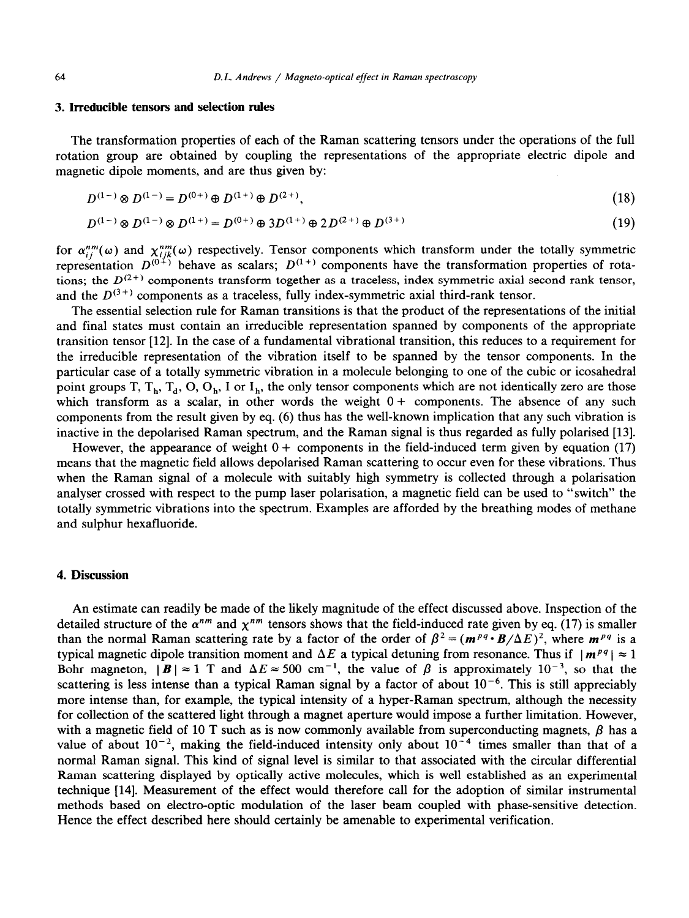#### **3. Irreducible tensors and** selection rules

The transformation properties of each of the Raman scattering tensors under the operations of the full rotation group are obtained by coupling the representations of the appropriate electric dipole and magnetic dipole moments, and are thus given by:

$$
D^{(1-)} \otimes D^{(1-)} = D^{(0+)} \oplus D^{(1+)} \oplus D^{(2+)}.
$$
\n(18)

$$
D^{(1-)} \otimes D^{(1-)} \otimes D^{(1+)} = D^{(0+)} \oplus 3D^{(1+)} \oplus 2D^{(2+)} \oplus D^{(3+)} \tag{19}
$$

for  $\alpha_{ij}^{ym}(\omega)$  and  $\chi_{ijk}^{nm}(\omega)$  respectively. Tensor components which transform under the totally symmetric representation  $D^{(0+)}$  behave as scalars;  $D^{(1+)}$  components have the transformation properties of rotations; the  $D^{(2+)}$  components transform together as a traceless, index-symmetric axial second-rank tensor, and the  $D^{(3+)}$  components as a traceless, fully index-symmetric axial third-rank tensor.

The essential selection rule for Raman transitions is that the product of the representations of the initial and final states must contain an irreducible representation spanned by components of the appropriate transition tensor [12]. In the case of a fundamental vibrational transition, this reduces to a requirement for the irreducible representation of the vibration itself to be spanned by the tensor components. In the particular case of a totally symmetric vibration in a molecule belonging to one of the cubic or icosahedral point groups T,  $T_h$ ,  $T_d$ , O, O<sub>h</sub>, I or I<sub>h</sub>, the only tensor components which are not identically zero are those which transform as a scalar, in other words the weight  $0 +$  components. The absence of any such components from the result given by eq. (6) thus has the well-known implication that any such vibration is inactive in the depolarised Raman spectrum, and the Raman signal is thus regarded as fully polarised [13].

However, the appearance of weight  $0 +$  components in the field-induced term given by equation (17) means that the magnetic field allows depolarised Raman scattering to occur even for these vibrations. Thus when the Raman signal of a molecule with suitably high symmetry is collected through a polarisation analyser crossed with respect to the pump laser polarisation, a magnetic field can be used to "switch" the totally symmetric vibrations into the spectrum. Examples are afforded by the breathing modes of methane and sulphur hexafluoride.

#### **4. Discussion**

An estimate can readily be made of the likely magnitude of the effect discussed above. Inspection of the detailed structure of the  $\alpha^{nm}$  and  $\chi^{nm}$  tensors shows that the field-induced rate given by eq. (17) is smaller than the normal Raman scattering rate by a factor of the order of  $\beta^2 = (m^{pq} \cdot B/\Delta E)^2$ , where  $m^{pq}$  is a typical magnetic dipole transition moment and  $\Delta E$  a typical detuning from resonance. Thus if  $|\mathbf{m}^{pq}| \approx 1$ Bohr magneton,  $|\mathbf{B}| \approx 1$  T and  $\Delta E \approx 500 \text{ cm}^{-1}$ , the value of  $\beta$  is approximately  $10^{-3}$ , so that the scattering is less intense than a typical Raman signal by a factor of about  $10^{-6}$ . This is still appreciably more intense than, for example, the typical intensity of a hyper-Raman spectrum, although the necessity for collection of the scattered light through a magnet aperture would impose a further limitation. However, with a magnetic field of 10 T such as is now commonly available from superconducting magnets,  $\beta$  has a value of about  $10^{-2}$ , making the field-induced intensity only about  $10^{-4}$  times smaller than that of a normal Raman signal. This kind of signal level is similar to that associated with the circular differential Raman scattering displayed by optically active molecules, which is well established as an experimental technique [14]. Measurement of the effect would therefore call for the adoption of similar instrumental methods based on electro-optic modulation of the laser beam coupled with phase-sensitive detection. Hence the effect described here should certainly be amenable to experimental verification.